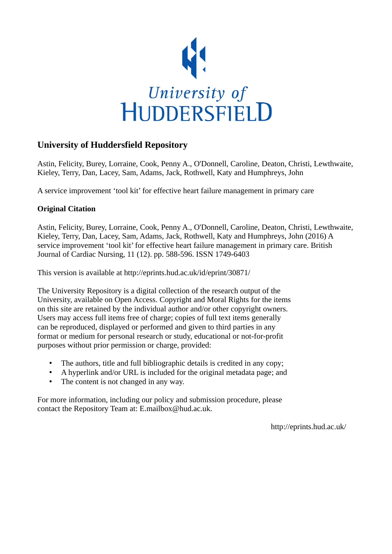

# **University of Huddersfield Repository**

Astin, Felicity, Burey, Lorraine, Cook, Penny A., O'Donnell, Caroline, Deaton, Christi, Lewthwaite, Kieley, Terry, Dan, Lacey, Sam, Adams, Jack, Rothwell, Katy and Humphreys, John

A service improvement 'tool kit' for effective heart failure management in primary care

## **Original Citation**

Astin, Felicity, Burey, Lorraine, Cook, Penny A., O'Donnell, Caroline, Deaton, Christi, Lewthwaite, Kieley, Terry, Dan, Lacey, Sam, Adams, Jack, Rothwell, Katy and Humphreys, John (2016) A service improvement 'tool kit' for effective heart failure management in primary care. British Journal of Cardiac Nursing, 11 (12). pp. 588-596. ISSN 1749-6403

This version is available at http://eprints.hud.ac.uk/id/eprint/30871/

The University Repository is a digital collection of the research output of the University, available on Open Access. Copyright and Moral Rights for the items on this site are retained by the individual author and/or other copyright owners. Users may access full items free of charge; copies of full text items generally can be reproduced, displayed or performed and given to third parties in any format or medium for personal research or study, educational or not-for-profit purposes without prior permission or charge, provided:

- The authors, title and full bibliographic details is credited in any copy;
- A hyperlink and/or URL is included for the original metadata page; and
- The content is not changed in any way.

For more information, including our policy and submission procedure, please contact the Repository Team at: E.mailbox@hud.ac.uk.

http://eprints.hud.ac.uk/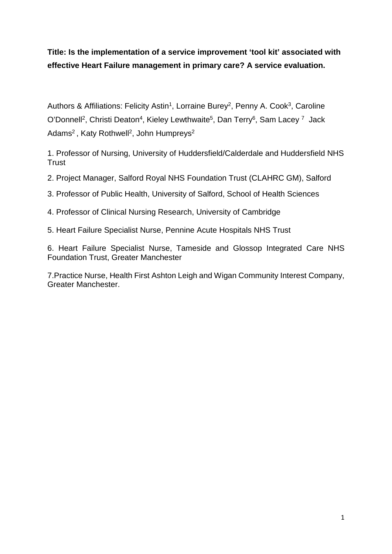**Title: Is the implementation of a service improvement 'tool kit' associated with effective Heart Failure management in primary care? A service evaluation.** 

Authors & Affiliations: Felicity Astin<sup>1</sup>, Lorraine Burey<sup>2</sup>, Penny A. Cook<sup>3</sup>, Caroline O'Donnell<sup>2</sup>, Christi Deaton<sup>4</sup>, Kieley Lewthwaite<sup>5</sup>, Dan Terry<sup>6</sup>, Sam Lacey<sup>7</sup> Jack Adams<sup>2</sup>, Katy Rothwell<sup>2</sup>, John Humpreys<sup>2</sup>

1. Professor of Nursing, University of Huddersfield/Calderdale and Huddersfield NHS **Trust** 

- 2. Project Manager, Salford Royal NHS Foundation Trust (CLAHRC GM), Salford
- 3. Professor of Public Health, University of Salford, School of Health Sciences

4. Professor of Clinical Nursing Research, University of Cambridge

5. Heart Failure Specialist Nurse, Pennine Acute Hospitals NHS Trust

6. Heart Failure Specialist Nurse, Tameside and Glossop Integrated Care NHS Foundation Trust, Greater Manchester

7.Practice Nurse, Health First Ashton Leigh and Wigan Community Interest Company, Greater Manchester.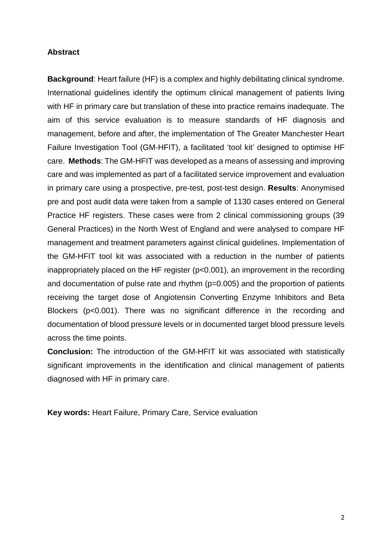## **Abstract**

**Background**: Heart failure (HF) is a complex and highly debilitating clinical syndrome. International guidelines identify the optimum clinical management of patients living with HF in primary care but translation of these into practice remains inadequate. The aim of this service evaluation is to measure standards of HF diagnosis and management, before and after, the implementation of The Greater Manchester Heart Failure Investigation Tool (GM-HFIT), a facilitated 'tool kit' designed to optimise HF care. **Methods**: The GM-HFIT was developed as a means of assessing and improving care and was implemented as part of a facilitated service improvement and evaluation in primary care using a prospective, pre-test, post-test design. **Results**: Anonymised pre and post audit data were taken from a sample of 1130 cases entered on General Practice HF registers. These cases were from 2 clinical commissioning groups (39 General Practices) in the North West of England and were analysed to compare HF management and treatment parameters against clinical guidelines. Implementation of the GM-HFIT tool kit was associated with a reduction in the number of patients inappropriately placed on the HF register (p<0.001), an improvement in the recording and documentation of pulse rate and rhythm (p=0.005) and the proportion of patients receiving the target dose of Angiotensin Converting Enzyme Inhibitors and Beta Blockers (p<0.001). There was no significant difference in the recording and documentation of blood pressure levels or in documented target blood pressure levels across the time points.

**Conclusion:** The introduction of the GM-HFIT kit was associated with statistically significant improvements in the identification and clinical management of patients diagnosed with HF in primary care.

**Key words:** Heart Failure, Primary Care, Service evaluation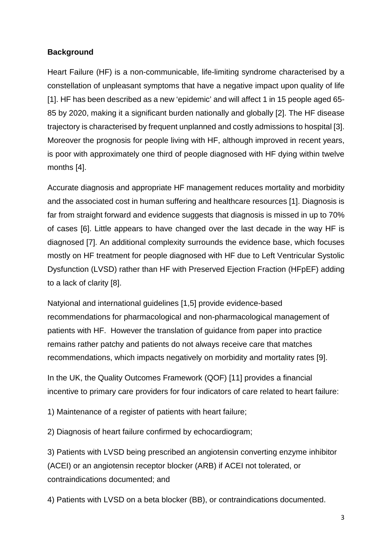## **Background**

Heart Failure (HF) is a non-communicable, life-limiting syndrome characterised by a constellation of unpleasant symptoms that have a negative impact upon quality of life [1]. HF has been described as a new 'epidemic' and will affect 1 in 15 people aged 65- 85 by 2020, making it a significant burden nationally and globally [2]. The HF disease trajectory is characterised by frequent unplanned and costly admissions to hospital [3]. Moreover the prognosis for people living with HF, although improved in recent years, is poor with approximately one third of people diagnosed with HF dying within twelve months [4].

Accurate diagnosis and appropriate HF management reduces mortality and morbidity and the associated cost in human suffering and healthcare resources [1]. Diagnosis is far from straight forward and evidence suggests that diagnosis is missed in up to 70% of cases [6]. Little appears to have changed over the last decade in the way HF is diagnosed [7]. An additional complexity surrounds the evidence base, which focuses mostly on HF treatment for people diagnosed with HF due to Left Ventricular Systolic Dysfunction (LVSD) rather than HF with Preserved Ejection Fraction (HFpEF) adding to a lack of clarity [8].

Natyional and international guidelines [1,5] provide evidence-based recommendations for pharmacological and non-pharmacological management of patients with HF. However the translation of guidance from paper into practice remains rather patchy and patients do not always receive care that matches recommendations, which impacts negatively on morbidity and mortality rates [9].

In the UK, the Quality Outcomes Framework (QOF) [11] provides a financial incentive to primary care providers for four indicators of care related to heart failure:

1) Maintenance of a register of patients with heart failure;

2) Diagnosis of heart failure confirmed by echocardiogram;

3) Patients with LVSD being prescribed an angiotensin converting enzyme inhibitor (ACEI) or an angiotensin receptor blocker (ARB) if ACEI not tolerated, or contraindications documented; and

4) Patients with LVSD on a beta blocker (BB), or contraindications documented.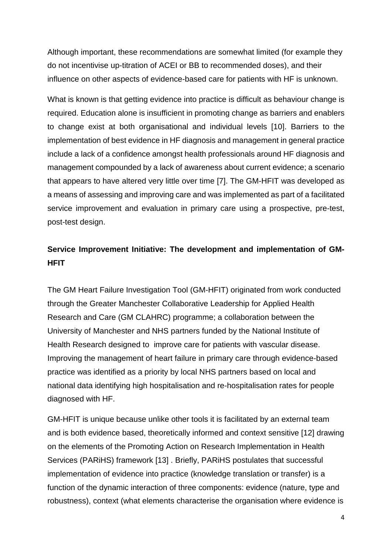Although important, these recommendations are somewhat limited (for example they do not incentivise up-titration of ACEI or BB to recommended doses), and their influence on other aspects of evidence-based care for patients with HF is unknown.

What is known is that getting evidence into practice is difficult as behaviour change is required. Education alone is insufficient in promoting change as barriers and enablers to change exist at both organisational and individual levels [10]. Barriers to the implementation of best evidence in HF diagnosis and management in general practice include a lack of a confidence amongst health professionals around HF diagnosis and management compounded by a lack of awareness about current evidence; a scenario that appears to have altered very little over time [7]. The GM-HFIT was developed as a means of assessing and improving care and was implemented as part of a facilitated service improvement and evaluation in primary care using a prospective, pre-test, post-test design.

# **Service Improvement Initiative: The development and implementation of GM-HFIT**

The GM Heart Failure Investigation Tool (GM-HFIT) originated from work conducted through the Greater Manchester Collaborative Leadership for Applied Health Research and Care (GM CLAHRC) programme; a collaboration between the University of Manchester and NHS partners funded by the National Institute of Health Research designed to improve care for patients with vascular disease. Improving the management of heart failure in primary care through evidence-based practice was identified as a priority by local NHS partners based on local and national data identifying high hospitalisation and re-hospitalisation rates for people diagnosed with HF.

GM-HFIT is unique because unlike other tools it is facilitated by an external team and is both evidence based, theoretically informed and context sensitive [12] drawing on the elements of the Promoting Action on Research Implementation in Health Services (PARiHS) framework [13] . Briefly, PARiHS postulates that successful implementation of evidence into practice (knowledge translation or transfer) is a function of the dynamic interaction of three components: evidence (nature, type and robustness), context (what elements characterise the organisation where evidence is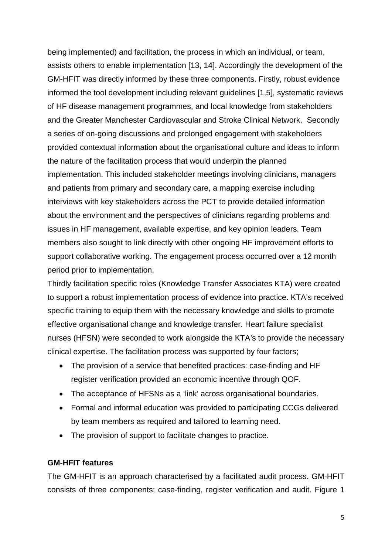being implemented) and facilitation, the process in which an individual, or team, assists others to enable implementation [13, 14]. Accordingly the development of the GM-HFIT was directly informed by these three components. Firstly, robust evidence informed the tool development including relevant guidelines [1,5], systematic reviews of HF disease management programmes, and local knowledge from stakeholders and the Greater Manchester Cardiovascular and Stroke Clinical Network. Secondly a series of on-going discussions and prolonged engagement with stakeholders provided contextual information about the organisational culture and ideas to inform the nature of the facilitation process that would underpin the planned implementation. This included stakeholder meetings involving clinicians, managers and patients from primary and secondary care, a mapping exercise including interviews with key stakeholders across the PCT to provide detailed information about the environment and the perspectives of clinicians regarding problems and issues in HF management, available expertise, and key opinion leaders. Team members also sought to link directly with other ongoing HF improvement efforts to support collaborative working. The engagement process occurred over a 12 month period prior to implementation.

Thirdly facilitation specific roles (Knowledge Transfer Associates KTA) were created to support a robust implementation process of evidence into practice. KTA's received specific training to equip them with the necessary knowledge and skills to promote effective organisational change and knowledge transfer. Heart failure specialist nurses (HFSN) were seconded to work alongside the KTA's to provide the necessary clinical expertise. The facilitation process was supported by four factors;

- The provision of a service that benefited practices: case-finding and HF register verification provided an economic incentive through QOF.
- The acceptance of HFSNs as a 'link' across organisational boundaries.
- Formal and informal education was provided to participating CCGs delivered by team members as required and tailored to learning need.
- The provision of support to facilitate changes to practice.

## **GM-HFIT features**

The GM-HFIT is an approach characterised by a facilitated audit process. GM-HFIT consists of three components; case-finding, register verification and audit. Figure 1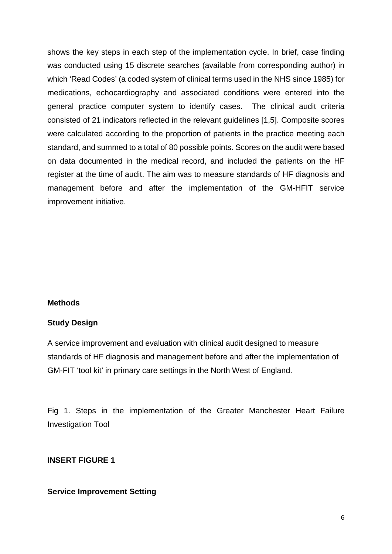shows the key steps in each step of the implementation cycle. In brief, case finding was conducted using 15 discrete searches (available from corresponding author) in which 'Read Codes' (a coded system of clinical terms used in the NHS since 1985) for medications, echocardiography and associated conditions were entered into the general practice computer system to identify cases. The clinical audit criteria consisted of 21 indicators reflected in the relevant guidelines [1,5]. Composite scores were calculated according to the proportion of patients in the practice meeting each standard, and summed to a total of 80 possible points. Scores on the audit were based on data documented in the medical record, and included the patients on the HF register at the time of audit. The aim was to measure standards of HF diagnosis and management before and after the implementation of the GM-HFIT service improvement initiative.

#### **Methods**

#### **Study Design**

A service improvement and evaluation with clinical audit designed to measure standards of HF diagnosis and management before and after the implementation of GM-FIT 'tool kit' in primary care settings in the North West of England.

Fig 1. Steps in the implementation of the Greater Manchester Heart Failure Investigation Tool

## **INSERT FIGURE 1**

#### **Service Improvement Setting**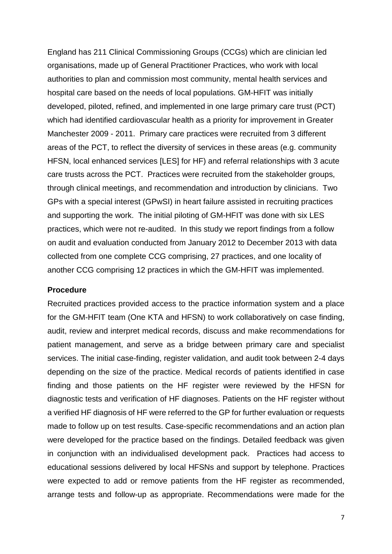England has 211 Clinical Commissioning Groups (CCGs) which are clinician led organisations, made up of General Practitioner Practices, who work with local authorities to plan and commission most community, mental health services and hospital care based on the needs of local populations. GM-HFIT was initially developed, piloted, refined, and implemented in one large primary care trust (PCT) which had identified cardiovascular health as a priority for improvement in Greater Manchester 2009 - 2011. Primary care practices were recruited from 3 different areas of the PCT, to reflect the diversity of services in these areas (e.g. community HFSN, local enhanced services [LES] for HF) and referral relationships with 3 acute care trusts across the PCT. Practices were recruited from the stakeholder groups, through clinical meetings, and recommendation and introduction by clinicians. Two GPs with a special interest (GPwSI) in heart failure assisted in recruiting practices and supporting the work. The initial piloting of GM-HFIT was done with six LES practices, which were not re-audited. In this study we report findings from a follow on audit and evaluation conducted from January 2012 to December 2013 with data collected from one complete CCG comprising, 27 practices, and one locality of another CCG comprising 12 practices in which the GM-HFIT was implemented.

#### **Procedure**

Recruited practices provided access to the practice information system and a place for the GM-HFIT team (One KTA and HFSN) to work collaboratively on case finding, audit, review and interpret medical records, discuss and make recommendations for patient management, and serve as a bridge between primary care and specialist services. The initial case-finding, register validation, and audit took between 2-4 days depending on the size of the practice. Medical records of patients identified in case finding and those patients on the HF register were reviewed by the HFSN for diagnostic tests and verification of HF diagnoses. Patients on the HF register without a verified HF diagnosis of HF were referred to the GP for further evaluation or requests made to follow up on test results. Case-specific recommendations and an action plan were developed for the practice based on the findings. Detailed feedback was given in conjunction with an individualised development pack. Practices had access to educational sessions delivered by local HFSNs and support by telephone. Practices were expected to add or remove patients from the HF register as recommended, arrange tests and follow-up as appropriate. Recommendations were made for the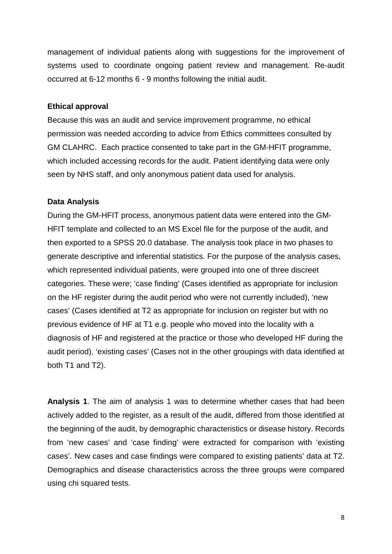management of individual patients along with suggestions for the improvement of systems used to coordinate ongoing patient review and management. Re-audit occurred at 6-12 months 6 - 9 months following the initial audit.

#### **Ethical approval**

Because this was an audit and service improvement programme, no ethical permission was needed according to advice from Ethics committees consulted by GM CLAHRC. Each practice consented to take part in the GM-HFIT programme, which included accessing records for the audit. Patient identifying data were only seen by NHS staff, and only anonymous patient data used for analysis.

## **Data Analysis**

During the GM-HFIT process, anonymous patient data were entered into the GM-HFIT template and collected to an MS Excel file for the purpose of the audit, and then exported to a SPSS 20.0 database. The analysis took place in two phases to generate descriptive and inferential statistics. For the purpose of the analysis cases, which represented individual patients, were grouped into one of three discreet categories. These were; 'case finding' (Cases identified as appropriate for inclusion on the HF register during the audit period who were not currently included), 'new cases' (Cases identified at T2 as appropriate for inclusion on register but with no previous evidence of HF at T1 e.g. people who moved into the locality with a diagnosis of HF and registered at the practice or those who developed HF during the audit period), 'existing cases' (Cases not in the other groupings with data identified at both T1 and T2).

**Analysis 1**. The aim of analysis 1 was to determine whether cases that had been actively added to the register, as a result of the audit, differed from those identified at the beginning of the audit, by demographic characteristics or disease history. Records from 'new cases' and 'case finding' were extracted for comparison with 'existing cases'. New cases and case findings were compared to existing patients' data at T2. Demographics and disease characteristics across the three groups were compared using chi squared tests.

8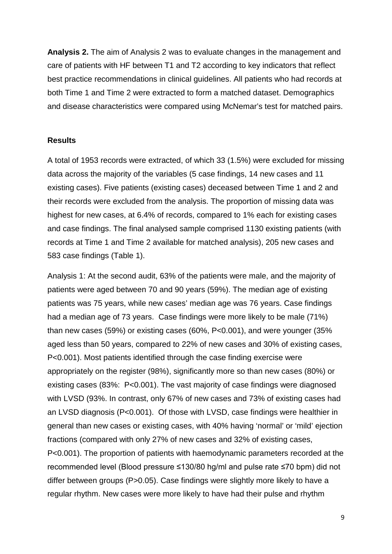**Analysis 2.** The aim of Analysis 2 was to evaluate changes in the management and care of patients with HF between T1 and T2 according to key indicators that reflect best practice recommendations in clinical guidelines. All patients who had records at both Time 1 and Time 2 were extracted to form a matched dataset. Demographics and disease characteristics were compared using McNemar's test for matched pairs.

#### **Results**

A total of 1953 records were extracted, of which 33 (1.5%) were excluded for missing data across the majority of the variables (5 case findings, 14 new cases and 11 existing cases). Five patients (existing cases) deceased between Time 1 and 2 and their records were excluded from the analysis. The proportion of missing data was highest for new cases, at 6.4% of records, compared to 1% each for existing cases and case findings. The final analysed sample comprised 1130 existing patients (with records at Time 1 and Time 2 available for matched analysis), 205 new cases and 583 case findings (Table 1).

Analysis 1: At the second audit, 63% of the patients were male, and the majority of patients were aged between 70 and 90 years (59%). The median age of existing patients was 75 years, while new cases' median age was 76 years. Case findings had a median age of 73 years. Case findings were more likely to be male (71%) than new cases (59%) or existing cases (60%, P<0.001), and were younger (35% aged less than 50 years, compared to 22% of new cases and 30% of existing cases, P<0.001). Most patients identified through the case finding exercise were appropriately on the register (98%), significantly more so than new cases (80%) or existing cases (83%: P<0.001). The vast majority of case findings were diagnosed with LVSD (93%. In contrast, only 67% of new cases and 73% of existing cases had an LVSD diagnosis (P<0.001). Of those with LVSD, case findings were healthier in general than new cases or existing cases, with 40% having 'normal' or 'mild' ejection fractions (compared with only 27% of new cases and 32% of existing cases, P<0.001). The proportion of patients with haemodynamic parameters recorded at the recommended level (Blood pressure ≤130/80 hg/ml and pulse rate ≤70 bpm) did not differ between groups (P>0.05). Case findings were slightly more likely to have a regular rhythm. New cases were more likely to have had their pulse and rhythm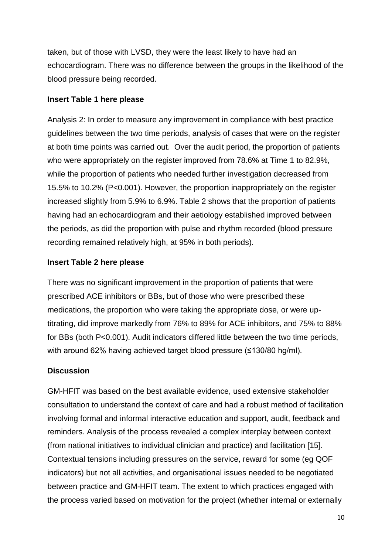taken, but of those with LVSD, they were the least likely to have had an echocardiogram. There was no difference between the groups in the likelihood of the blood pressure being recorded.

## **Insert Table 1 here please**

Analysis 2: In order to measure any improvement in compliance with best practice guidelines between the two time periods, analysis of cases that were on the register at both time points was carried out. Over the audit period, the proportion of patients who were appropriately on the register improved from 78.6% at Time 1 to 82.9%, while the proportion of patients who needed further investigation decreased from 15.5% to 10.2% (P<0.001). However, the proportion inappropriately on the register increased slightly from 5.9% to 6.9%. Table 2 shows that the proportion of patients having had an echocardiogram and their aetiology established improved between the periods, as did the proportion with pulse and rhythm recorded (blood pressure recording remained relatively high, at 95% in both periods).

## **Insert Table 2 here please**

There was no significant improvement in the proportion of patients that were prescribed ACE inhibitors or BBs, but of those who were prescribed these medications, the proportion who were taking the appropriate dose, or were uptitrating, did improve markedly from 76% to 89% for ACE inhibitors, and 75% to 88% for BBs (both P<0.001). Audit indicators differed little between the two time periods, with around 62% having achieved target blood pressure (≤130/80 hg/ml).

## **Discussion**

GM-HFIT was based on the best available evidence, used extensive stakeholder consultation to understand the context of care and had a robust method of facilitation involving formal and informal interactive education and support, audit, feedback and reminders. Analysis of the process revealed a complex interplay between context (from national initiatives to individual clinician and practice) and facilitation [15]. Contextual tensions including pressures on the service, reward for some (eg QOF indicators) but not all activities, and organisational issues needed to be negotiated between practice and GM-HFIT team. The extent to which practices engaged with the process varied based on motivation for the project (whether internal or externally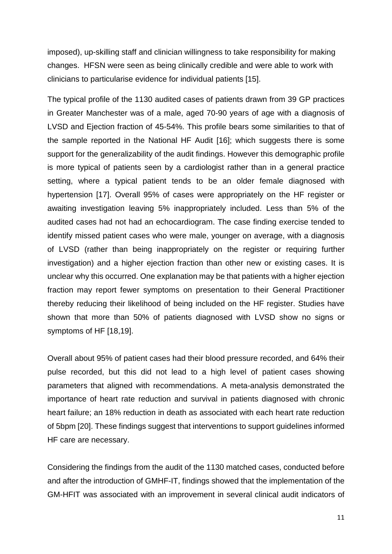imposed), up-skilling staff and clinician willingness to take responsibility for making changes. HFSN were seen as being clinically credible and were able to work with clinicians to particularise evidence for individual patients [15].

The typical profile of the 1130 audited cases of patients drawn from 39 GP practices in Greater Manchester was of a male, aged 70-90 years of age with a diagnosis of LVSD and Ejection fraction of 45-54%. This profile bears some similarities to that of the sample reported in the National HF Audit [16]; which suggests there is some support for the generalizability of the audit findings. However this demographic profile is more typical of patients seen by a cardiologist rather than in a general practice setting, where a typical patient tends to be an older female diagnosed with hypertension [17]. Overall 95% of cases were appropriately on the HF register or awaiting investigation leaving 5% inappropriately included. Less than 5% of the audited cases had not had an echocardiogram. The case finding exercise tended to identify missed patient cases who were male, younger on average, with a diagnosis of LVSD (rather than being inappropriately on the register or requiring further investigation) and a higher ejection fraction than other new or existing cases. It is unclear why this occurred. One explanation may be that patients with a higher ejection fraction may report fewer symptoms on presentation to their General Practitioner thereby reducing their likelihood of being included on the HF register. Studies have shown that more than 50% of patients diagnosed with LVSD show no signs or symptoms of HF [18,19].

Overall about 95% of patient cases had their blood pressure recorded, and 64% their pulse recorded, but this did not lead to a high level of patient cases showing parameters that aligned with recommendations. A meta-analysis demonstrated the importance of heart rate reduction and survival in patients diagnosed with chronic heart failure; an 18% reduction in death as associated with each heart rate reduction of 5bpm [20]. These findings suggest that interventions to support guidelines informed HF care are necessary.

Considering the findings from the audit of the 1130 matched cases, conducted before and after the introduction of GMHF-IT, findings showed that the implementation of the GM-HFIT was associated with an improvement in several clinical audit indicators of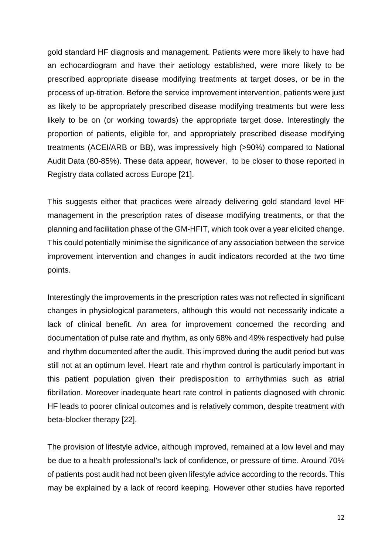gold standard HF diagnosis and management. Patients were more likely to have had an echocardiogram and have their aetiology established, were more likely to be prescribed appropriate disease modifying treatments at target doses, or be in the process of up-titration. Before the service improvement intervention, patients were just as likely to be appropriately prescribed disease modifying treatments but were less likely to be on (or working towards) the appropriate target dose. Interestingly the proportion of patients, eligible for, and appropriately prescribed disease modifying treatments (ACEI/ARB or BB), was impressively high (>90%) compared to National Audit Data (80-85%). These data appear, however, to be closer to those reported in Registry data collated across Europe [21].

This suggests either that practices were already delivering gold standard level HF management in the prescription rates of disease modifying treatments, or that the planning and facilitation phase of the GM-HFIT, which took over a year elicited change. This could potentially minimise the significance of any association between the service improvement intervention and changes in audit indicators recorded at the two time points.

Interestingly the improvements in the prescription rates was not reflected in significant changes in physiological parameters, although this would not necessarily indicate a lack of clinical benefit. An area for improvement concerned the recording and documentation of pulse rate and rhythm, as only 68% and 49% respectively had pulse and rhythm documented after the audit. This improved during the audit period but was still not at an optimum level. Heart rate and rhythm control is particularly important in this patient population given their predisposition to arrhythmias such as atrial fibrillation. Moreover inadequate heart rate control in patients diagnosed with chronic HF leads to poorer clinical outcomes and is relatively common, despite treatment with beta-blocker therapy [22].

The provision of lifestyle advice, although improved, remained at a low level and may be due to a health professional's lack of confidence, or pressure of time. Around 70% of patients post audit had not been given lifestyle advice according to the records. This may be explained by a lack of record keeping. However other studies have reported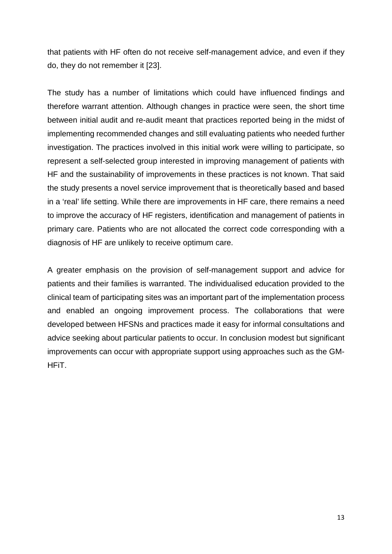that patients with HF often do not receive self-management advice, and even if they do, they do not remember it [23].

The study has a number of limitations which could have influenced findings and therefore warrant attention. Although changes in practice were seen, the short time between initial audit and re-audit meant that practices reported being in the midst of implementing recommended changes and still evaluating patients who needed further investigation. The practices involved in this initial work were willing to participate, so represent a self-selected group interested in improving management of patients with HF and the sustainability of improvements in these practices is not known. That said the study presents a novel service improvement that is theoretically based and based in a 'real' life setting. While there are improvements in HF care, there remains a need to improve the accuracy of HF registers, identification and management of patients in primary care. Patients who are not allocated the correct code corresponding with a diagnosis of HF are unlikely to receive optimum care.

A greater emphasis on the provision of self-management support and advice for patients and their families is warranted. The individualised education provided to the clinical team of participating sites was an important part of the implementation process and enabled an ongoing improvement process. The collaborations that were developed between HFSNs and practices made it easy for informal consultations and advice seeking about particular patients to occur. In conclusion modest but significant improvements can occur with appropriate support using approaches such as the GM-HFiT.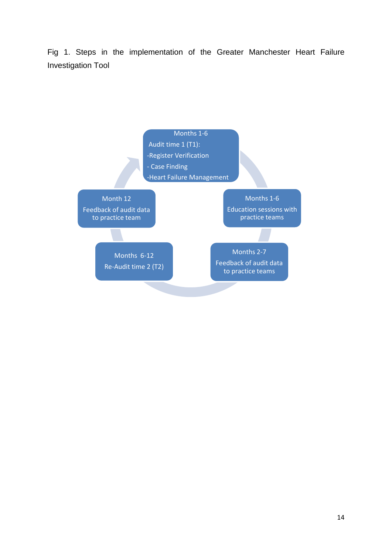Fig 1. Steps in the implementation of the Greater Manchester Heart Failure Investigation Tool

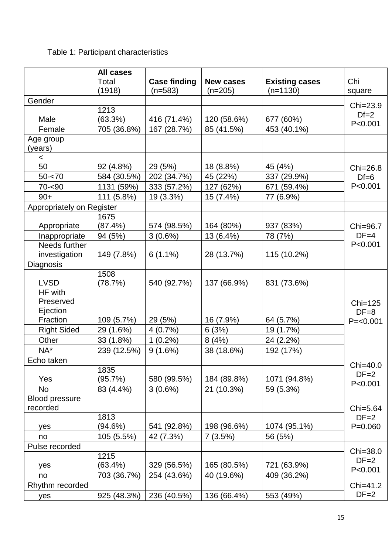# Table 1: Participant characteristics

|                                  | <b>All cases</b><br>Total<br>(1918) | <b>Case finding</b><br>$(n=583)$ | <b>New cases</b><br>$(n=205)$ | <b>Existing cases</b><br>$(n=1130)$ | Chi<br>square                   |  |  |
|----------------------------------|-------------------------------------|----------------------------------|-------------------------------|-------------------------------------|---------------------------------|--|--|
| Gender                           |                                     |                                  |                               |                                     |                                 |  |  |
| Male                             | 1213<br>(63.3%)                     | 416 (71.4%)                      | 120 (58.6%)                   | 677 (60%)                           | Chi=23.9<br>$Df=2$<br>P < 0.001 |  |  |
| Female                           | 705 (36.8%)                         | 167 (28.7%)                      | 85 (41.5%)                    | 453 (40.1%)                         |                                 |  |  |
| Age group<br>(years)             |                                     |                                  |                               |                                     |                                 |  |  |
| $\prec$                          |                                     |                                  |                               |                                     |                                 |  |  |
| 50                               | 92 (4.8%)                           | 29 (5%)                          | 18 (8.8%)                     | 45 (4%)                             | Chi=26.8                        |  |  |
| $50 - 70$                        | 584 (30.5%)                         | 202 (34.7%)                      | 45 (22%)                      | 337 (29.9%)                         | $Df=6$                          |  |  |
| $70 - 90$                        | 1131 (59%)                          | 333 (57.2%)                      | 127 (62%)                     | 671 (59.4%)                         | P < 0.001                       |  |  |
| $90+$                            | 111 (5.8%)                          | 19 (3.3%)                        | 15 (7.4%)                     | 77 (6.9%)                           |                                 |  |  |
| Appropriately on Register        |                                     |                                  |                               |                                     |                                 |  |  |
| Appropriate                      | 1675<br>(87.4%)                     | 574 (98.5%)                      | 164 (80%)                     | 937 (83%)                           | Chi=96.7                        |  |  |
| Inappropriate                    | 94 (5%)                             | $3(0.6\%)$                       | 13 (6.4%)                     | 78 (7%)                             | $DF=4$<br>P < 0.001             |  |  |
| Needs further<br>investigation   | 149 (7.8%)                          | $6(1.1\%)$                       | 28 (13.7%)                    | 115 (10.2%)                         |                                 |  |  |
| Diagnosis                        |                                     |                                  |                               |                                     |                                 |  |  |
| <b>LVSD</b>                      | 1508<br>(78.7%)                     | 540 (92.7%)                      | 137 (66.9%)                   | 831 (73.6%)                         |                                 |  |  |
| HF with<br>Preserved<br>Ejection |                                     |                                  |                               |                                     | $Chi=125$<br>$DF=8$             |  |  |
| Fraction                         | 109 (5.7%)                          | 29 (5%)                          | 16 (7.9%)                     | 64 (5.7%)                           | $P = < 0.001$                   |  |  |
| <b>Right Sided</b>               | 29 (1.6%)                           | 4(0.7%)                          | 6(3%)                         | 19 (1.7%)                           |                                 |  |  |
| Other                            | 33 (1.8%)                           | $1(0.2\%)$                       | 8(4%)                         | 24 (2.2%)                           |                                 |  |  |
| $NA^*$                           | 239 (12.5%)                         | 9(1.6%)                          | 38 (18.6%)                    | 192 (17%)                           |                                 |  |  |
| Echo taken                       |                                     |                                  |                               |                                     |                                 |  |  |
|                                  | 1835                                |                                  |                               |                                     | Chi=40.0                        |  |  |
| Yes                              | (95.7%)                             | 580 (99.5%)                      | 184 (89.8%)                   | 1071 (94.8%)                        | $DF=2$<br>P < 0.001             |  |  |
| <b>No</b>                        | 83 (4.4%)                           | 3(0.6%)                          | 21 (10.3%)                    | 59 (5.3%)                           |                                 |  |  |
| <b>Blood pressure</b>            |                                     |                                  |                               |                                     |                                 |  |  |
| recorded                         |                                     |                                  |                               |                                     | Chi=5.64                        |  |  |
|                                  | 1813                                |                                  |                               |                                     | $DF=2$                          |  |  |
| yes                              | (94.6%)                             | 541 (92.8%)                      | 198 (96.6%)                   | 1074 (95.1%)                        | $P = 0.060$                     |  |  |
| no                               | 105 (5.5%)                          | 42 (7.3%)                        | 7(3.5%)                       | 56 (5%)                             |                                 |  |  |
| Pulse recorded                   |                                     |                                  |                               |                                     |                                 |  |  |
| yes                              | 1215<br>$(63.4\%)$                  | 329 (56.5%)                      | 165 (80.5%)                   | 721 (63.9%)                         | Chi=38.0<br>$DF=2$              |  |  |
| no                               | 703 (36.7%)                         | 254 (43.6%)                      | 40 (19.6%)                    | 409 (36.2%)                         | P < 0.001                       |  |  |
| Rhythm recorded                  |                                     |                                  |                               |                                     | Chi=41.2                        |  |  |
| yes                              | 925 (48.3%)                         | 236 (40.5%)                      | 136 (66.4%)                   | 553 (49%)                           | $DF=2$                          |  |  |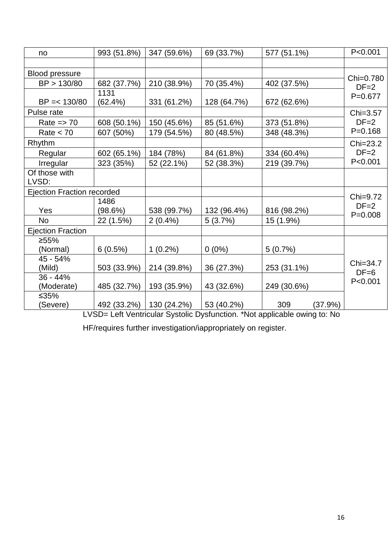| no                                | 993 (51.8%) | 347 (59.6%) | 69 (33.7%)  | 577 (51.1%) |         | P < 0.001           |  |
|-----------------------------------|-------------|-------------|-------------|-------------|---------|---------------------|--|
|                                   |             |             |             |             |         |                     |  |
| <b>Blood pressure</b>             |             |             |             |             |         |                     |  |
| BP > 130/80                       | 682 (37.7%) | 210 (38.9%) | 70 (35.4%)  | 402 (37.5%) |         | Chi=0.780<br>$DF=2$ |  |
|                                   | 1131        |             |             |             |         | $P=0.677$           |  |
| $BP = < 130/80$                   | (62.4%)     | 331 (61.2%) | 128 (64.7%) | 672 (62.6%) |         |                     |  |
| Pulse rate                        |             |             |             |             |         | Chi=3.57            |  |
| Rate $\Rightarrow$ 70             | 608 (50.1%) | 150 (45.6%) | 85 (51.6%)  | 373 (51.8%) |         | $DF=2$              |  |
| Rate $<$ 70                       | 607 (50%)   | 179 (54.5%) | 80 (48.5%)  | 348 (48.3%) |         | $P = 0.168$         |  |
| Rhythm                            |             |             |             |             |         | Chi=23.2            |  |
| Regular                           | 602 (65.1%) | 184 (78%)   | 84 (61.8%)  | 334 (60.4%) |         | $DF=2$              |  |
| Irregular                         | 323 (35%)   | 52 (22.1%)  | 52 (38.3%)  | 219 (39.7%) |         | P < 0.001           |  |
| Of those with                     |             |             |             |             |         |                     |  |
| LVSD:                             |             |             |             |             |         |                     |  |
| <b>Ejection Fraction recorded</b> |             |             |             |             |         |                     |  |
|                                   | 1486        |             |             |             |         | Chi=9.72<br>$DF=2$  |  |
| Yes                               | (98.6%)     | 538 (99.7%) | 132 (96.4%) | 816 (98.2%) |         | $P = 0.008$         |  |
| <b>No</b>                         | 22 (1.5%)   | $2(0.4\%)$  | 5(3.7%)     | 15 (1.9%)   |         |                     |  |
| <b>Ejection Fraction</b>          |             |             |             |             |         |                     |  |
| ≥55%                              |             |             |             |             |         |                     |  |
| (Normal)                          | 6(0.5%)     | $1(0.2\%)$  | $0(0\%)$    | 5(0.7%)     |         |                     |  |
| 45 - 54%                          |             |             |             |             |         | Chi=34.7            |  |
| (Mild)                            | 503 (33.9%) | 214 (39.8%) | 36 (27.3%)  | 253 (31.1%) |         | $DF=6$              |  |
| $36 - 44%$                        |             |             |             |             |         | P < 0.001           |  |
| (Moderate)                        | 485 (32.7%) | 193 (35.9%) | 43 (32.6%)  | 249 (30.6%) |         |                     |  |
| $≤35%$                            |             |             |             |             |         |                     |  |
| (Severe)                          | 492 (33.2%) | 130 (24.2%) | 53 (40.2%)  | 309         | (37.9%) |                     |  |

LVSD= Left Ventricular Systolic Dysfunction. \*Not applicable owing to: No

HF/requires further investigation/iappropriately on register.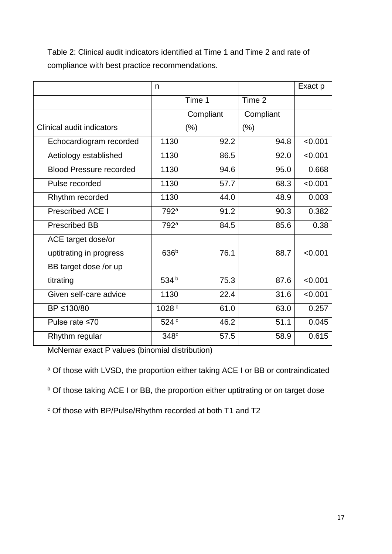Table 2: Clinical audit indicators identified at Time 1 and Time 2 and rate of compliance with best practice recommendations.

|                                | n                 |           |           | Exact p |
|--------------------------------|-------------------|-----------|-----------|---------|
|                                |                   | Time 1    | Time 2    |         |
|                                |                   | Compliant | Compliant |         |
| Clinical audit indicators      |                   | (%)       | $(\% )$   |         |
| Echocardiogram recorded        | 1130              | 92.2      | 94.8      | < 0.001 |
| Aetiology established          | 1130              | 86.5      | 92.0      | < 0.001 |
| <b>Blood Pressure recorded</b> | 1130              | 94.6      | 95.0      | 0.668   |
| Pulse recorded                 | 1130              | 57.7      | 68.3      | < 0.001 |
| Rhythm recorded                | 1130              | 44.0      | 48.9      | 0.003   |
| <b>Prescribed ACE I</b>        | 792 <sup>a</sup>  | 91.2      | 90.3      | 0.382   |
| <b>Prescribed BB</b>           | 792 <sup>a</sup>  | 84.5      | 85.6      | 0.38    |
| ACE target dose/or             |                   |           |           |         |
| uptitrating in progress        | 636 <sup>b</sup>  | 76.1      | 88.7      | < 0.001 |
| BB target dose /or up          |                   |           |           |         |
| titrating                      | 534 $b$           | 75.3      | 87.6      | < 0.001 |
| Given self-care advice         | 1130              | 22.4      | 31.6      | < 0.001 |
| BP ≤130/80                     | 1028 <sup>c</sup> | 61.0      | 63.0      | 0.257   |
| Pulse rate ≤70                 | 524 <sup>c</sup>  | 46.2      | 51.1      | 0.045   |
| Rhythm regular                 | 348 <sup>c</sup>  | 57.5      | 58.9      | 0.615   |

McNemar exact P values (binomial distribution)

<sup>a</sup> Of those with LVSD, the proportion either taking ACE I or BB or contraindicated

b Of those taking ACE I or BB, the proportion either uptitrating or on target dose

<sup>c</sup> Of those with BP/Pulse/Rhythm recorded at both T1 and T2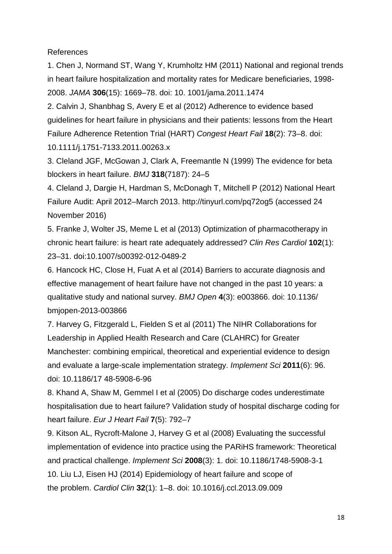References

1. Chen J, Normand ST, Wang Y, Krumholtz HM (2011) National and regional trends in heart failure hospitalization and mortality rates for Medicare beneficiaries, 1998- 2008. *JAMA* **306**(15): 1669–78. doi: 10. 1001/jama.2011.1474

2. Calvin J, Shanbhag S, Avery E et al (2012) Adherence to evidence based guidelines for heart failure in physicians and their patients: lessons from the Heart Failure Adherence Retention Trial (HART) *Congest Heart Fail* **18**(2): 73–8. doi: 10.1111/j.1751-7133.2011.00263.x

3. Cleland JGF, McGowan J, Clark A, Freemantle N (1999) The evidence for beta blockers in heart failure. *BMJ* **318**(7187): 24–5

4. Cleland J, Dargie H, Hardman S, McDonagh T, Mitchell P (2012) National Heart Failure Audit: April 2012–March 2013. http://tinyurl.com/pq72og5 (accessed 24 November 2016)

5. Franke J, Wolter JS, Meme L et al (2013) Optimization of pharmacotherapy in chronic heart failure: is heart rate adequately addressed? *Clin Res Cardiol* **102**(1): 23–31. doi:10.1007/s00392-012-0489-2

6. Hancock HC, Close H, Fuat A et al (2014) Barriers to accurate diagnosis and effective management of heart failure have not changed in the past 10 years: a qualitative study and national survey. *BMJ Open* **4**(3): e003866. doi: 10.1136/ bmjopen-2013-003866

7. Harvey G, Fitzgerald L, Fielden S et al (2011) The NIHR Collaborations for Leadership in Applied Health Research and Care (CLAHRC) for Greater Manchester: combining empirical, theoretical and experiential evidence to design and evaluate a large-scale implementation strategy. *Implement Sci* **2011**(6): 96. doi: 10.1186/17 48-5908-6-96

8. Khand A, Shaw M, Gemmel I et al (2005) Do discharge codes underestimate hospitalisation due to heart failure? Validation study of hospital discharge coding for heart failure. *Eur J Heart Fail* **7**(5): 792–7

9. Kitson AL, Rycroft-Malone J, Harvey G et al (2008) Evaluating the successful implementation of evidence into practice using the PARiHS framework: Theoretical and practical challenge. *Implement Sci* **2008**(3): 1. doi: 10.1186/1748-5908-3-1 10. Liu LJ, Eisen HJ (2014) Epidemiology of heart failure and scope of the problem. *Cardiol Clin* **32**(1): 1–8. doi: 10.1016/j.ccl.2013.09.009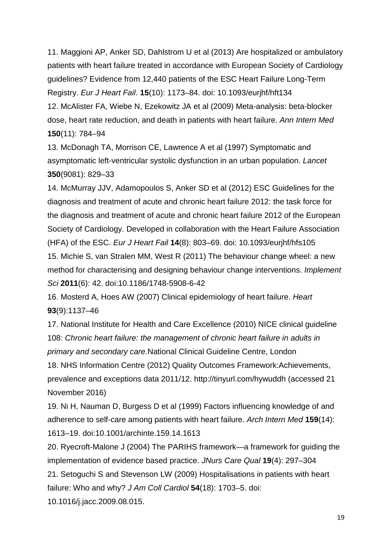11. Maggioni AP, Anker SD, Dahlstrom U et al (2013) Are hospitalized or ambulatory patients with heart failure treated in accordance with European Society of Cardiology guidelines? Evidence from 12,440 patients of the ESC Heart Failure Long-Term Registry. *Eur J Heart Fail*. **15**(10): 1173–84. doi: 10.1093/eurjhf/hft134 12. McAlister FA, Wiebe N, Ezekowitz JA et al (2009) Meta-analysis: beta-blocker dose, heart rate reduction, and death in patients with heart failure. *Ann Intern Med*  **150**(11): 784–94

13. McDonagh TA, Morrison CE, Lawrence A et al (1997) Symptomatic and asymptomatic left-ventricular systolic dysfunction in an urban population. *Lancet*  **350**(9081): 829–33

14. McMurray JJV, Adamopoulos S, Anker SD et al (2012) ESC Guidelines for the diagnosis and treatment of acute and chronic heart failure 2012: the task force for the diagnosis and treatment of acute and chronic heart failure 2012 of the European Society of Cardiology. Developed in collaboration with the Heart Failure Association (HFA) of the ESC. *Eur J Heart Fail* **14**(8): 803–69. doi: 10.1093/eurjhf/hfs105 15. Michie S, van Stralen MM, West R (2011) The behaviour change wheel: a new method for characterising and designing behaviour change interventions. *Implement Sci* **2011**(6): 42. doi:10.1186/1748-5908-6-42

16. Mosterd A, Hoes AW (2007) Clinical epidemiology of heart failure. *Heart*  **93**(9):1137–46

17. National Institute for Health and Care Excellence (2010) NICE clinical guideline 108: *Chronic heart failure: the management of chronic heart failure in adults in primary and secondary care.*National Clinical Guideline Centre, London

18. NHS Information Centre (2012) Quality Outcomes Framework:Achievements, prevalence and exceptions data 2011/12. http://tinyurl.com/hywuddh (accessed 21 November 2016)

19. Ni H, Nauman D, Burgess D et al (1999) Factors influencing knowledge of and adherence to self-care among patients with heart failure. *Arch Intern Med* **159**(14): 1613–19. doi:10.1001/archinte.159.14.1613

20. Ryecroft-Malone J (2004) The PARIHS framework—a framework for guiding the implementation of evidence based practice. *JNurs Care Qual* **19**(4): 297–304 21. Setoguchi S and Stevenson LW (2009) Hospitalisations in patients with heart failure: Who and why? *J Am Coll Cardiol* **54**(18): 1703–5. doi: 10.1016/j.jacc.2009.08.015.